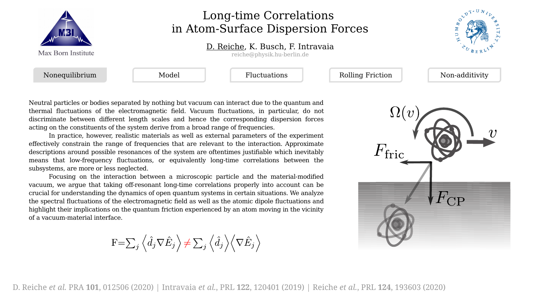

## Long-time Correlations in Atom-Surface Dispersion Forces

## D. Reiche, K. Busch, F. Intravaia

reiche@physik.hu-berlin.de



Neutral particles or bodies separated by nothing but vacuum can interact due to the quantum and thermal fluctuations of the electromagnetic field. Vacuum fluctuations, in particular, do not discriminate between different length scales and hence the corresponding dispersion forces acting on the constituents of the system derive from a broad range of frequencies.

In practice, however, realistic materials as well as external parameters of the experiment effectively constrain the range of frequencies that are relevant to the interaction. Approximate descriptions around possible resonances of the system are oftentimes justifiable which inevitably means that low-frequency fluctuations, or equivalently long-time correlations between the subsystems, are more or less neglected.

Focusing on the interaction between a microscopic particle and the material-modified vacuum, we argue that taking off-resonant long-time correlations properly into account can be crucial for understanding the dynamics of open quantum systems in certain situations. We analyze the spectral fluctuations of the electromagnetic field as well as the atomic dipole fluctuations and highlight their implications on the quantum friction experienced by an atom moving in the vicinity of a vacuum-material interface.

$$
\mathbf{F}\mathbf{=}\sum_{j}\left\langle \hat{d}_{j}\nabla\hat{E}_{j}\right\rangle \mathbf{+}\sum_{j}\left\langle \hat{d}_{j}\right\rangle \left\langle \nabla\hat{E}_{j}\right\rangle
$$

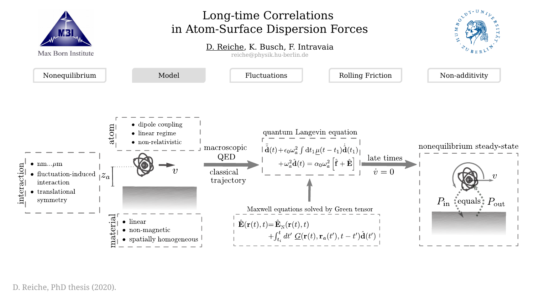

D. Reiche, PhD thesis (2020).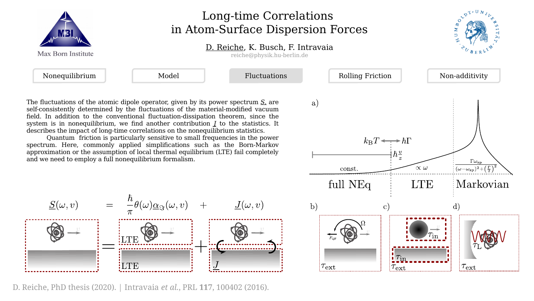| Max Born Institute | Long-time Correlations<br>in Atom-Surface Dispersion Forces<br>D. Reiche, K. Busch, F. Intravaia<br>reiche@physik.hu-berlin.de |                     |                         |                |
|--------------------|--------------------------------------------------------------------------------------------------------------------------------|---------------------|-------------------------|----------------|
|                    |                                                                                                                                |                     |                         |                |
| Nonequilibrium     | Model                                                                                                                          | <b>Fluctuations</b> | <b>Rolling Friction</b> | Non-additivity |

The fluctuations of the atomic dipole operator, given by its power spectrum *S,* are self-consistently determined by the fluctuations of the material-modified vacuum field. In addition to the conventional fluctuation-dissipation theorem, since the system is in nonequilibrium, we find another contribution *J* to the statistics. It describes the impact of long-time correlations on the nonequilibrium statistics.

Quantum friction is particularly sensitive to small frequencies in the power spectrum. Here, commonly applied simplifications such as the Born-Markov approximation or the assumption of local thermal equilibrium (LTE) fail completely and we need to employ a full nonequilibrium formalism.



D. Reiche, PhD thesis (2020). | Intravaia *et al.*, PRL **117**, 100402 (2016).

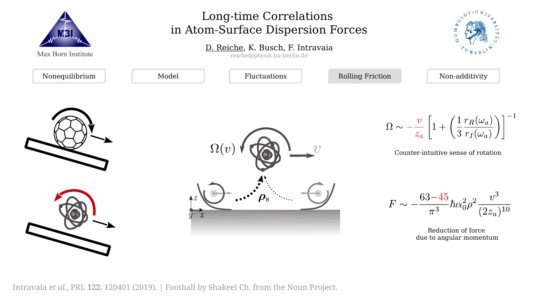

Intravaia *et al.*, PRL **122**, 120401 (2019). | Football by Shakeel Ch. from the Noun Project.